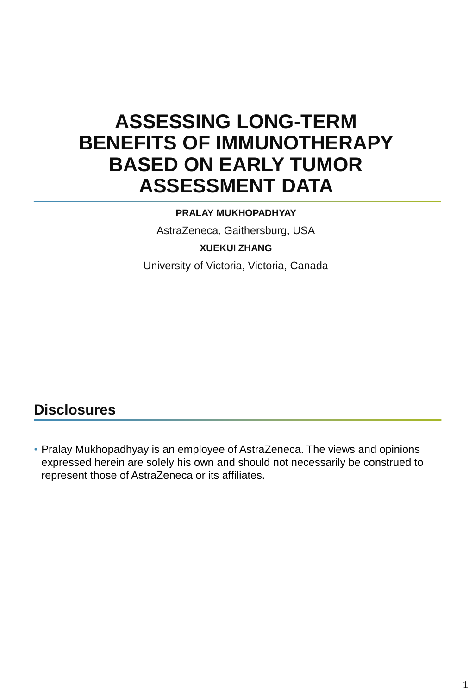# **ASSESSING LONG-TERM BENEFITS OF IMMUNOTHERAPY BASED ON EARLY TUMOR ASSESSMENT DATA**

#### **PRALAY MUKHOPADHYAY**

AstraZeneca, Gaithersburg, USA **XUEKUI ZHANG**

University of Victoria, Victoria, Canada

#### **Disclosures**

• Pralay Mukhopadhyay is an employee of AstraZeneca. The views and opinions expressed herein are solely his own and should not necessarily be construed to represent those of AstraZeneca or its affiliates.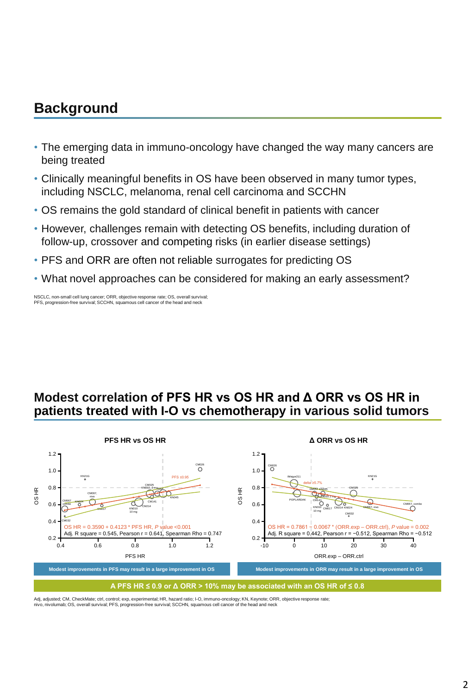#### **Background**

- The emerging data in immuno-oncology have changed the way many cancers are being treated
- Clinically meaningful benefits in OS have been observed in many tumor types, including NSCLC, melanoma, renal cell carcinoma and SCCHN
- OS remains the gold standard of clinical benefit in patients with cancer
- However, challenges remain with detecting OS benefits, including duration of follow-up, crossover and competing risks (in earlier disease settings)
- PFS and ORR are often not reliable surrogates for predicting OS
- What novel approaches can be considered for making an early assessment?

NSCLC, non-small cell lung cancer; ORR, objective response rate; OS, overall survival; PFS, progression-free survival; SCCHN, squamous cell cancer of the head and neck

#### **Modest correlation of PFS HR vs OS HR and Δ ORR vs OS HR in patients treated with I-O vs chemotherapy in various solid tumors**



Adj, adjusted; CM, CheckMate; ctrl, control; exp, experimental; HR, hazard ratio; I-O, immuno-oncology; KN, Keynote; ORR, objective response rate;<br>nivo, nivolumab; OS, overall survival; PFS, progression-free survival; SCCH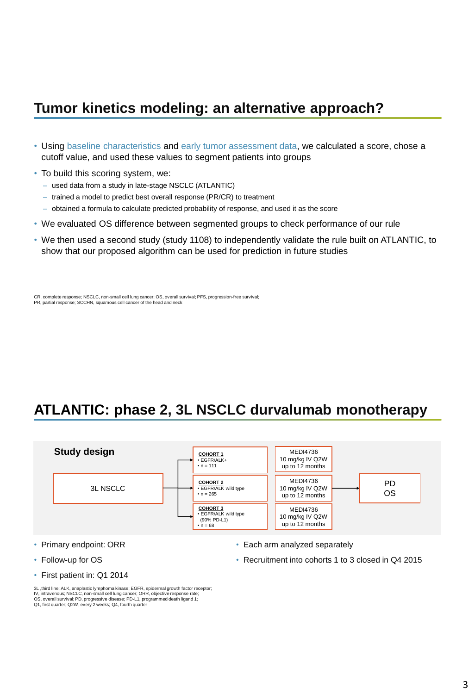#### **Tumor kinetics modeling: an alternative approach?**

- Using baseline characteristics and early tumor assessment data, we calculated a score, chose a cutoff value, and used these values to segment patients into groups
- To build this scoring system, we:
	- used data from a study in late-stage NSCLC (ATLANTIC)
	- trained a model to predict best overall response (PR/CR) to treatment
	- obtained a formula to calculate predicted probability of response, and used it as the score
- We evaluated OS difference between segmented groups to check performance of our rule
- We then used a second study (study 1108) to independently validate the rule built on ATLANTIC, to show that our proposed algorithm can be used for prediction in future studies

CR, complete response; NSCLC, non-small cell lung cancer; OS, overall survival; PFS, progression-free survival; PR, partial response; SCCHN, squamous cell cancer of the head and neck

## **ATLANTIC: phase 2, 3L NSCLC durvalumab monotherapy**



- Primary endpoint: ORR
- Follow-up for OS
- First patient in: Q1 2014

• Recruitment into cohorts 1 to 3 closed in Q4 2015

<sup>•</sup> Each arm analyzed separately

<sup>3</sup>L ,third line; ALK, anaplastic lymphoma kinase; EGFR, epidermal growth factor receptor; IV, intravenous; NSCLC, non-small cell lung cancer; ORR, objective response rate;<br>OS, overall survival; PD, progressive disease; PD-L1, programmed death ligand 1;<br>Q1, first quarter; Q2W, every 2 weeks; Q4, fourth quarter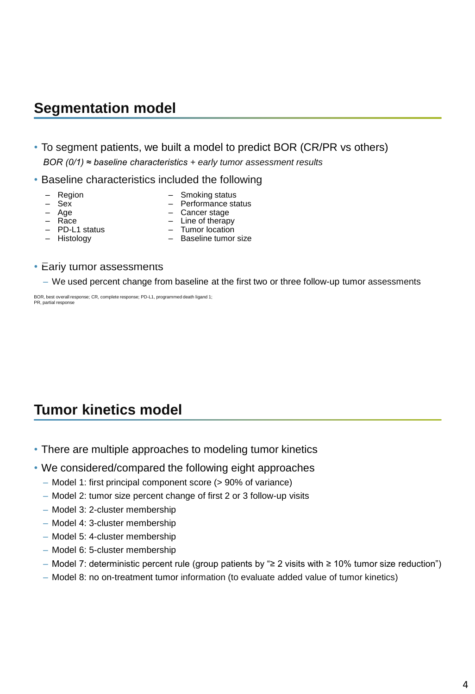#### **Segmentation model**

- To segment patients, we built a model to predict BOR (CR/PR vs others) *BOR (0/1) ≈ baseline characteristics + early tumor assessment results*
- Baseline characteristics included the following
	- Region

– Smoking status

– Sex

– Performance status – Cancer stage

- Age
- Race
- Line of therapy
- PD-L1 status – Histology
- Tumor location – Baseline tumor size
- Early tumor assessments
	- We used percent change from baseline at the first two or three follow-up tumor assessments

BOR, best overall response; CR, complete response; PD-L1, programmed death ligand 1; PR, partial response

### **Tumor kinetics model**

- There are multiple approaches to modeling tumor kinetics
- We considered/compared the following eight approaches
	- Model 1: first principal component score (> 90% of variance)
	- Model 2: tumor size percent change of first 2 or 3 follow-up visits
	- Model 3: 2-cluster membership
	- Model 4: 3-cluster membership
	- Model 5: 4-cluster membership
	- Model 6: 5-cluster membership
	- Model 7: deterministic percent rule (group patients by "≥ 2 visits with ≥ 10% tumor size reduction")
	- Model 8: no on-treatment tumor information (to evaluate added value of tumor kinetics)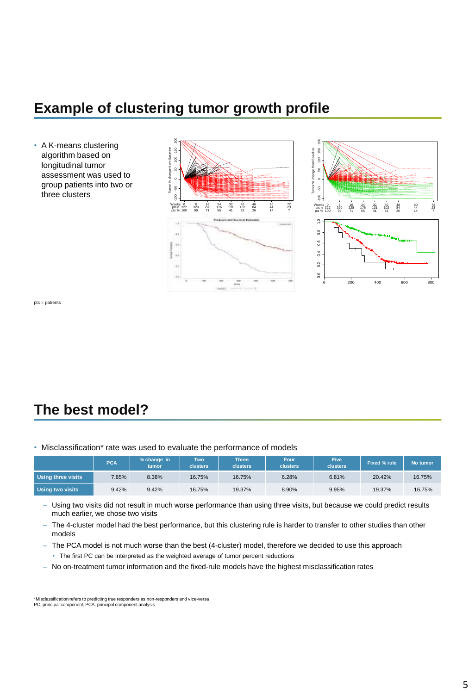#### **Example of clustering tumor growth profile**

• A K-means clustering algorithm based on longitudinal tumor assessment was used to group patients into two or three clusters





pts = patients

## **The best model?**

• Misclassification\* rate was used to evaluate the performance of models

|                           | <b>PCA</b> | % change in<br>tumor | Two<br><b>clusters</b> | <b>Three</b><br><b>clusters</b> | Four<br><b>clusters</b> | <b>Five</b><br>clusters | Fixed % rule | No tumor |
|---------------------------|------------|----------------------|------------------------|---------------------------------|-------------------------|-------------------------|--------------|----------|
| <b>Using three visits</b> | 7.85%      | 8.38%                | 16.75%                 | 16.75%                          | 6.28%                   | 6.81%                   | 20.42%       | 16.75%   |
| <b>Using two visits</b>   | 9.42%      | 9.42%                | 16.75%                 | 19.37%                          | 8.90%                   | 9.95%                   | 19.37%       | 16.75%   |

- Using two visits did not result in much worse performance than using three visits, but because we could predict results much earlier, we chose two visits
- The 4-cluster model had the best performance, but this clustering rule is harder to transfer to other studies than other models
- The PCA model is not much worse than the best (4-cluster) model, therefore we decided to use this approach
	- The first PC can be interpreted as the weighted average of tumor percent reductions
- No on-treatment tumor information and the fixed-rule models have the highest misclassification rates

\*Misclassification refers to predicting true responders as non-responders and vice-versa PC, principal component; PCA, principal component analysis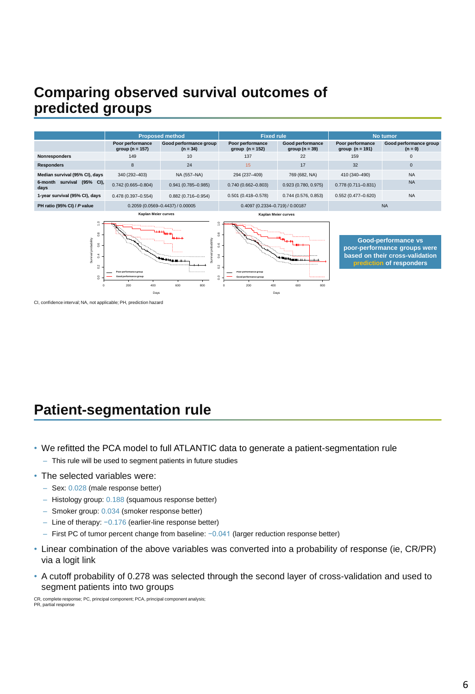### **Comparing observed survival outcomes of predicted groups**



CI, confidence interval; NA, not applicable; PH, prediction hazard

## **Patient-segmentation rule**

- We refitted the PCA model to full ATLANTIC data to generate a patient-segmentation rule – This rule will be used to segment patients in future studies
- The selected variables were:
	- Sex: 0.028 (male response better)
	- Histology group: 0.188 (squamous response better)
	- Smoker group: 0.034 (smoker response better)
	- Line of therapy: −0.176 (earlier-line response better)
	- First PC of tumor percent change from baseline: −0.041 (larger reduction response better)
- Linear combination of the above variables was converted into a probability of response (ie, CR/PR) via a logit link
- A cutoff probability of 0.278 was selected through the second layer of cross-validation and used to segment patients into two groups

CR, complete response; PC, principal component; PCA, principal component analysis; PR, partial response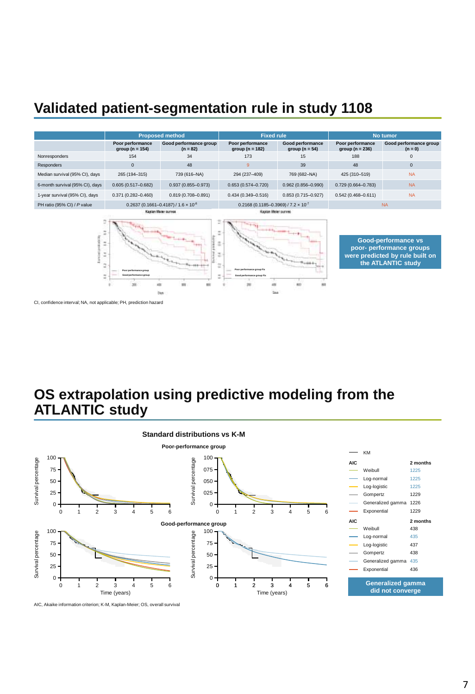### **Validated patient-segmentation rule in study 1108**



CI, confidence interval; NA, not applicable; PH, prediction hazard

#### **OS extrapolation using predictive modeling from the ATLANTIC study**



AIC, Akaike information criterion; K-M, Kaplan-Meier; OS, overall survival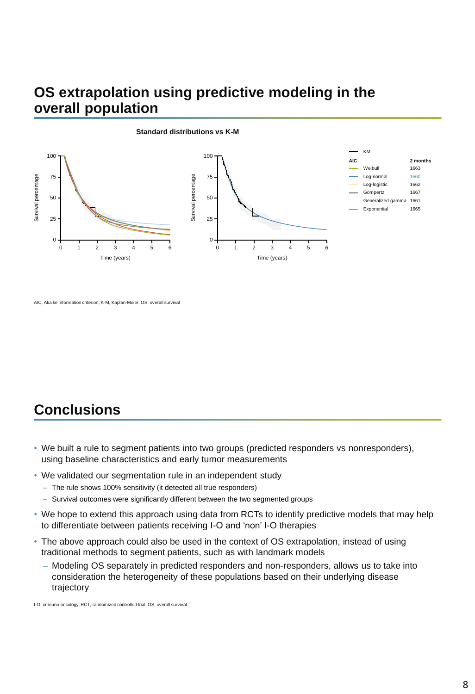#### **OS extrapolation using predictive modeling in the overall population**



#### **Standard distributions vs K-M**

### **Conclusions**

- We built a rule to segment patients into two groups (predicted responders vs nonresponders), using baseline characteristics and early tumor measurements
- We validated our segmentation rule in an independent study
	- The rule shows 100% sensitivity (it detected all true responders)
	- Survival outcomes were significantly different between the two segmented groups
- We hope to extend this approach using data from RCTs to identify predictive models that may help to differentiate between patients receiving I-O and 'non' I-O therapies
- The above approach could also be used in the context of OS extrapolation, instead of using traditional methods to segment patients, such as with landmark models
	- Modeling OS separately in predicted responders and non-responders, allows us to take into consideration the heterogeneity of these populations based on their underlying disease trajectory

I-O, immuno-oncology; RCT, randomized controlled trial; OS, overall survival